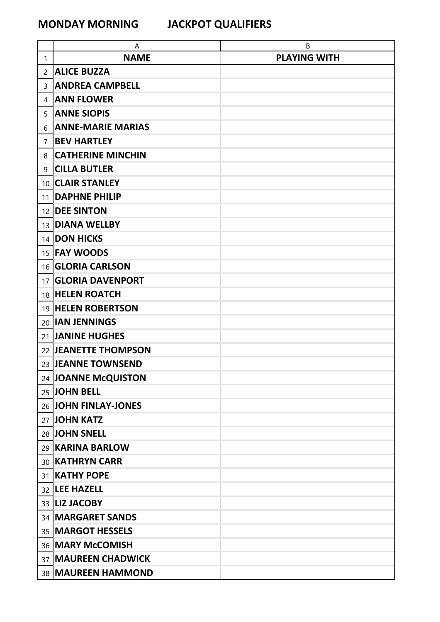|                 | A                         | В                   |
|-----------------|---------------------------|---------------------|
| 1               | <b>NAME</b>               | <b>PLAYING WITH</b> |
| $\mathbf{2}$    | <b>ALICE BUZZA</b>        |                     |
| 3               | <b>ANDREA CAMPBELL</b>    |                     |
| 4               | <b>ANN FLOWER</b>         |                     |
| 5               | <b>ANNE SIOPIS</b>        |                     |
| 6               | <b>ANNE-MARIE MARIAS</b>  |                     |
| 7               | <b>BEV HARTLEY</b>        |                     |
| 8               | <b>CATHERINE MINCHIN</b>  |                     |
| 9               | <b>CILLA BUTLER</b>       |                     |
| 10 <sup>1</sup> | <b>CLAIR STANLEY</b>      |                     |
| 11              | <b>DAPHNE PHILIP</b>      |                     |
| 12              | <b>DEE SINTON</b>         |                     |
|                 | 13 DIANA WELLBY           |                     |
|                 | 14 DON HICKS              |                     |
|                 | 15 <b>FAY WOODS</b>       |                     |
|                 | 16 <b>GLORIA CARLSON</b>  |                     |
| 17 <sup>1</sup> | <b>GLORIA DAVENPORT</b>   |                     |
|                 | 18 HELEN ROATCH           |                     |
|                 | 19 <b>HELEN ROBERTSON</b> |                     |
|                 | 20 <b>IAN JENNINGS</b>    |                     |
|                 | 21 JANINE HUGHES          |                     |
|                 | 22 JEANETTE THOMPSON      |                     |
|                 | 23 JEANNE TOWNSEND        |                     |
|                 | 24 JOANNE McQUISTON       |                     |
|                 | 25 JOHN BELL              |                     |
|                 | 26 JOHN FINLAY-JONES      |                     |
|                 | 27 JOHN KATZ              |                     |
|                 | 28 JOHN SNELL             |                     |
|                 | 29   KARINA BARLOW        |                     |
|                 | 30 KATHRYN CARR           |                     |
|                 | 31 KATHY POPE             |                     |
|                 | 32 LEE HAZELL             |                     |
|                 | 33   LIZ JACOBY           |                     |
|                 | 34   MARGARET SANDS       |                     |
|                 | 35   MARGOT HESSELS       |                     |
|                 | 36   MARY McCOMISH        |                     |
|                 | 37 MAUREEN CHADWICK       |                     |
|                 | 38   MAUREEN HAMMOND      |                     |